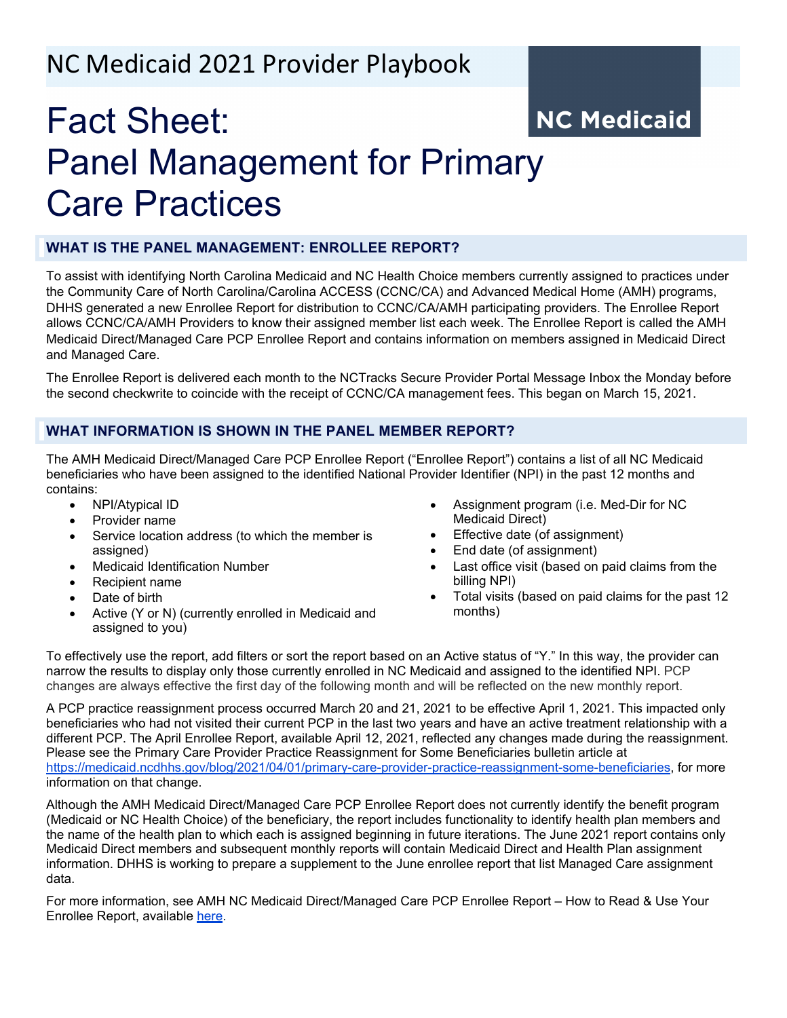# NC Medicaid 2021 Provider Playbook

# Fact Sheet: **NC Medicaid** Panel Management for Primary Care Practices

## **WHAT IS THE PANEL MANAGEMENT: ENROLLEE REPORT?**

To assist with identifying North Carolina Medicaid and NC Health Choice members currently assigned to practices under the Community Care of North Carolina/Carolina ACCESS (CCNC/CA) and Advanced Medical Home (AMH) programs, DHHS generated a new Enrollee Report for distribution to CCNC/CA/AMH participating providers. The Enrollee Report allows CCNC/CA/AMH Providers to know their assigned member list each week. The Enrollee Report is called the AMH Medicaid Direct/Managed Care PCP Enrollee Report and contains information on members assigned in Medicaid Direct and Managed Care.

The Enrollee Report is delivered each month to the NCTracks Secure Provider Portal Message Inbox the Monday before the second checkwrite to coincide with the receipt of CCNC/CA management fees. This began on March 15, 2021.

#### **WHAT INFORMATION IS SHOWN IN THE PANEL MEMBER REPORT?**

The AMH Medicaid Direct/Managed Care PCP Enrollee Report ("Enrollee Report") contains a list of all NC Medicaid beneficiaries who have been assigned to the identified National Provider Identifier (NPI) in the past 12 months and contains:

- NPI/Atypical ID
- Provider name
- Service location address (to which the member is assigned)
- Medicaid Identification Number
- Recipient name
- Date of birth
- Active (Y or N) (currently enrolled in Medicaid and assigned to you)
- Assignment program (i.e. Med-Dir for NC Medicaid Direct)
- Effective date (of assignment)
- End date (of assignment)
- Last office visit (based on paid claims from the billing NPI)
- Total visits (based on paid claims for the past 12 months)

To effectively use the report, add filters or sort the report based on an Active status of "Y." In this way, the provider can narrow the results to display only those currently enrolled in NC Medicaid and assigned to the identified NPI. PCP changes are always effective the first day of the following month and will be reflected on the new monthly report.

A PCP practice reassignment process occurred March 20 and 21, 2021 to be effective April 1, 2021. This impacted only beneficiaries who had not visited their current PCP in the last two years and have an active treatment relationship with a different PCP. The April Enrollee Report, available April 12, 2021, reflected any changes made during the reassignment. Please see the Primary Care Provider Practice Reassignment for Some Beneficiaries bulletin article at [https://medicaid.ncdhhs.gov/blog/2021/04/01/primary-care-provider-practice-reassignment-some-beneficiaries,](https://medicaid.ncdhhs.gov/blog/2021/04/01/primary-care-provider-practice-reassignment-some-beneficiaries) for more information on that change.

Although the AMH Medicaid Direct/Managed Care PCP Enrollee Report does not currently identify the benefit program (Medicaid or NC Health Choice) of the beneficiary, the report includes functionality to identify health plan members and the name of the health plan to which each is assigned beginning in future iterations. The June 2021 report contains only Medicaid Direct members and subsequent monthly reports will contain Medicaid Direct and Health Plan assignment information. DHHS is working to prepare a supplement to the June enrollee report that list Managed Care assignment data.

For more information, see AMH NC Medicaid Direct/Managed Care PCP Enrollee Report – How to Read & Use Your Enrollee Report, available [here.](https://medicaid.ncdhhs.gov/blog/2021/04/23/amh-nc-medicaid-directmanaged-care-pcp-enrollee-report-%E2%80%93-how-read-use-your-enrollee)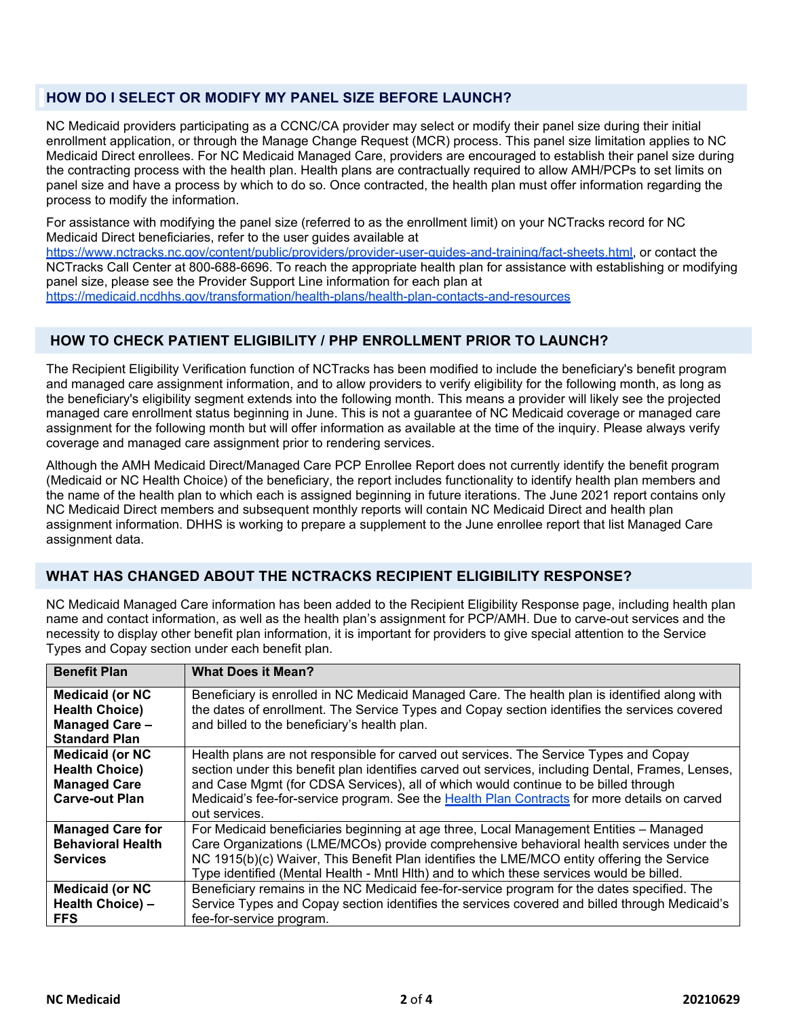## **HOW DO I SELECT OR MODIFY MY PANEL SIZE BEFORE LAUNCH?**

NC Medicaid providers participating as a CCNC/CA provider may select or modify their panel size during their initial enrollment application, or through the Manage Change Request (MCR) process. This panel size limitation applies to NC Medicaid Direct enrollees. For NC Medicaid Managed Care, providers are encouraged to establish their panel size during the contracting process with the health plan. Health plans are contractually required to allow AMH/PCPs to set limits on panel size and have a process by which to do so. Once contracted, the health plan must offer information regarding the process to modify the information.

For assistance with modifying the panel size (referred to as the enrollment limit) on your NCTracks record for NC Medicaid Direct beneficiaries, refer to the user guides available at [https://www.nctracks.nc.gov/content/public/providers/provider-user-guides-and-training/fact-sheets.html,](https://www.nctracks.nc.gov/content/public/providers/provider-user-guides-and-training/fact-sheets.html) or contact the NCTracks Call Center at 800-688-6696. To reach the appropriate health plan for assistance with establishing or modifying panel size, please see the Provider Support Line information for each plan at <https://medicaid.ncdhhs.gov/transformation/health-plans/health-plan-contacts-and-resources>

### **HOW TO CHECK PATIENT ELIGIBILITY / PHP ENROLLMENT PRIOR TO LAUNCH?**

The Recipient Eligibility Verification function of NCTracks has been modified to include the beneficiary's benefit program and managed care assignment information, and to allow providers to verify eligibility for the following month, as long as the beneficiary's eligibility segment extends into the following month. This means a provider will likely see the projected managed care enrollment status beginning in June. This is not a guarantee of NC Medicaid coverage or managed care assignment for the following month but will offer information as available at the time of the inquiry. Please always verify coverage and managed care assignment prior to rendering services.

Although the AMH Medicaid Direct/Managed Care PCP Enrollee Report does not currently identify the benefit program (Medicaid or NC Health Choice) of the beneficiary, the report includes functionality to identify health plan members and the name of the health plan to which each is assigned beginning in future iterations. The June 2021 report contains only NC Medicaid Direct members and subsequent monthly reports will contain NC Medicaid Direct and health plan assignment information. DHHS is working to prepare a supplement to the June enrollee report that list Managed Care assignment data.

## **WHAT HAS CHANGED ABOUT THE NCTRACKS RECIPIENT ELIGIBILITY RESPONSE?**

NC Medicaid Managed Care information has been added to the Recipient Eligibility Response page, including health plan name and contact information, as well as the health plan's assignment for PCP/AMH. Due to carve-out services and the necessity to display other benefit plan information, it is important for providers to give special attention to the Service Types and Copay section under each benefit plan.

| <b>Benefit Plan</b>                                                                              | <b>What Does it Mean?</b>                                                                                                                                                                                                                                                                                                                                                                          |
|--------------------------------------------------------------------------------------------------|----------------------------------------------------------------------------------------------------------------------------------------------------------------------------------------------------------------------------------------------------------------------------------------------------------------------------------------------------------------------------------------------------|
| <b>Medicaid (or NC</b><br><b>Health Choice)</b><br><b>Managed Care -</b><br><b>Standard Plan</b> | Beneficiary is enrolled in NC Medicaid Managed Care. The health plan is identified along with<br>the dates of enrollment. The Service Types and Copay section identifies the services covered<br>and billed to the beneficiary's health plan.                                                                                                                                                      |
| <b>Medicaid (or NC</b><br><b>Health Choice)</b><br><b>Managed Care</b><br><b>Carve-out Plan</b>  | Health plans are not responsible for carved out services. The Service Types and Copay<br>section under this benefit plan identifies carved out services, including Dental, Frames, Lenses,<br>and Case Mgmt (for CDSA Services), all of which would continue to be billed through<br>Medicaid's fee-for-service program. See the Health Plan Contracts for more details on carved<br>out services. |
| <b>Managed Care for</b><br><b>Behavioral Health</b><br><b>Services</b>                           | For Medicaid beneficiaries beginning at age three, Local Management Entities – Managed<br>Care Organizations (LME/MCOs) provide comprehensive behavioral health services under the<br>NC 1915(b)(c) Waiver, This Benefit Plan identifies the LME/MCO entity offering the Service<br>Type identified (Mental Health - Mntl Hlth) and to which these services would be billed.                       |
| <b>Medicaid (or NC</b><br>Health Choice) -<br><b>FFS</b>                                         | Beneficiary remains in the NC Medicaid fee-for-service program for the dates specified. The<br>Service Types and Copay section identifies the services covered and billed through Medicaid's<br>fee-for-service program.                                                                                                                                                                           |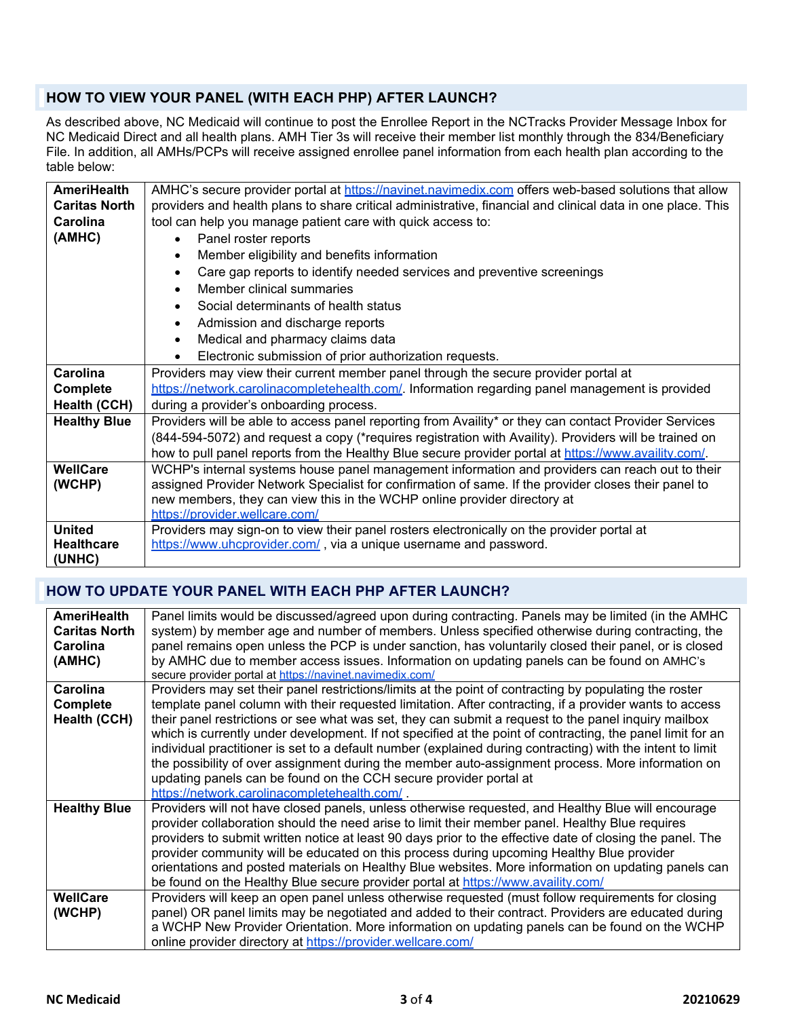## **HOW TO VIEW YOUR PANEL (WITH EACH PHP) AFTER LAUNCH?**

As described above, NC Medicaid will continue to post the Enrollee Report in the NCTracks Provider Message Inbox for NC Medicaid Direct and all health plans. AMH Tier 3s will receive their member list monthly through the 834/Beneficiary File. In addition, all AMHs/PCPs will receive assigned enrollee panel information from each health plan according to the table below:

| <b>AmeriHealth</b>   | AMHC's secure provider portal at https://navinet.navimedix.com offers web-based solutions that allow        |  |
|----------------------|-------------------------------------------------------------------------------------------------------------|--|
| <b>Caritas North</b> | providers and health plans to share critical administrative, financial and clinical data in one place. This |  |
| Carolina             | tool can help you manage patient care with quick access to:                                                 |  |
| (AMHC)               | Panel roster reports<br>$\bullet$                                                                           |  |
|                      | Member eligibility and benefits information<br>$\bullet$                                                    |  |
|                      | Care gap reports to identify needed services and preventive screenings                                      |  |
|                      | Member clinical summaries                                                                                   |  |
|                      | Social determinants of health status                                                                        |  |
|                      | Admission and discharge reports<br>$\bullet$                                                                |  |
|                      | Medical and pharmacy claims data<br>$\bullet$                                                               |  |
|                      | Electronic submission of prior authorization requests.                                                      |  |
| Carolina             | Providers may view their current member panel through the secure provider portal at                         |  |
| <b>Complete</b>      | https://network.carolinacompletehealth.com/. Information regarding panel management is provided             |  |
| <b>Health (CCH)</b>  | during a provider's onboarding process.                                                                     |  |
| <b>Healthy Blue</b>  | Providers will be able to access panel reporting from Availity* or they can contact Provider Services       |  |
|                      | (844-594-5072) and request a copy (*requires registration with Availity). Providers will be trained on      |  |
|                      | how to pull panel reports from the Healthy Blue secure provider portal at https://www.availity.com/.        |  |
| <b>WellCare</b>      | WCHP's internal systems house panel management information and providers can reach out to their             |  |
| (WCHP)               | assigned Provider Network Specialist for confirmation of same. If the provider closes their panel to        |  |
|                      | new members, they can view this in the WCHP online provider directory at                                    |  |
|                      | https://provider.wellcare.com/                                                                              |  |
| <b>United</b>        | Providers may sign-on to view their panel rosters electronically on the provider portal at                  |  |
| <b>Healthcare</b>    | https://www.uhcprovider.com/, via a unique username and password.                                           |  |
| (UNHC)               |                                                                                                             |  |

## **HOW TO UPDATE YOUR PANEL WITH EACH PHP AFTER LAUNCH?**

| <b>AmeriHealth</b>   | Panel limits would be discussed/agreed upon during contracting. Panels may be limited (in the AMHC         |
|----------------------|------------------------------------------------------------------------------------------------------------|
| <b>Caritas North</b> | system) by member age and number of members. Unless specified otherwise during contracting, the            |
| Carolina             | panel remains open unless the PCP is under sanction, has voluntarily closed their panel, or is closed      |
| (AMHC)               | by AMHC due to member access issues. Information on updating panels can be found on AMHC's                 |
|                      | secure provider portal at https://navinet.navimedix.com/                                                   |
| Carolina             | Providers may set their panel restrictions/limits at the point of contracting by populating the roster     |
| <b>Complete</b>      | template panel column with their requested limitation. After contracting, if a provider wants to access    |
| Health (CCH)         | their panel restrictions or see what was set, they can submit a request to the panel inquiry mailbox       |
|                      | which is currently under development. If not specified at the point of contracting, the panel limit for an |
|                      | individual practitioner is set to a default number (explained during contracting) with the intent to limit |
|                      | the possibility of over assignment during the member auto-assignment process. More information on          |
|                      | updating panels can be found on the CCH secure provider portal at                                          |
|                      | https://network.carolinacompletehealth.com/.                                                               |
| <b>Healthy Blue</b>  | Providers will not have closed panels, unless otherwise requested, and Healthy Blue will encourage         |
|                      | provider collaboration should the need arise to limit their member panel. Healthy Blue requires            |
|                      | providers to submit written notice at least 90 days prior to the effective date of closing the panel. The  |
|                      | provider community will be educated on this process during upcoming Healthy Blue provider                  |
|                      | orientations and posted materials on Healthy Blue websites. More information on updating panels can        |
|                      | be found on the Healthy Blue secure provider portal at https://www.availity.com/                           |
| <b>WellCare</b>      | Providers will keep an open panel unless otherwise requested (must follow requirements for closing         |
| (WCHP)               | panel) OR panel limits may be negotiated and added to their contract. Providers are educated during        |
|                      | a WCHP New Provider Orientation. More information on updating panels can be found on the WCHP              |
|                      | online provider directory at https://provider.wellcare.com/                                                |
|                      |                                                                                                            |